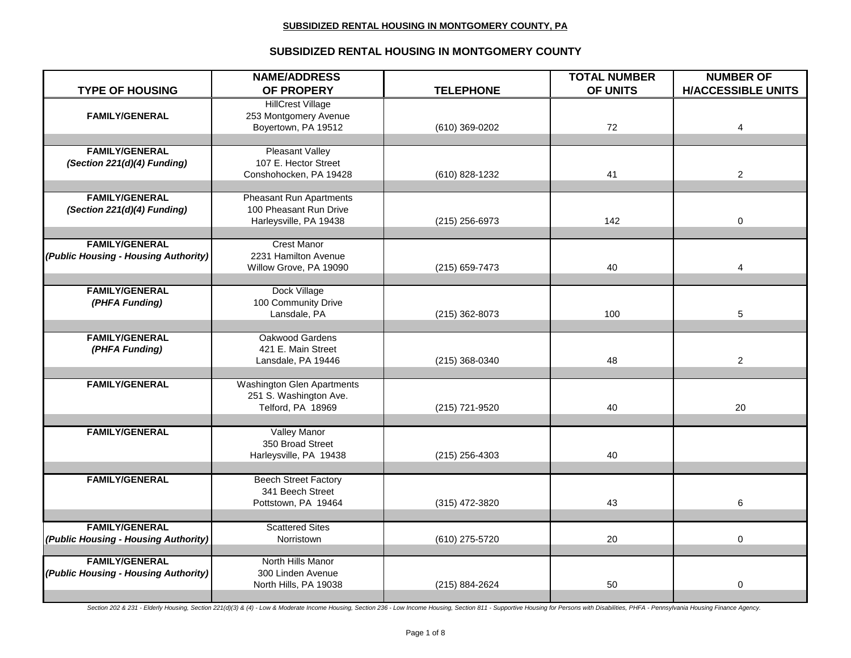## **SUBSIDIZED RENTAL HOUSING IN MONTGOMERY COUNTY**

| <b>TYPE OF HOUSING</b>                  | <b>NAME/ADDRESS</b><br>OF PROPERY                           | <b>TELEPHONE</b> | <b>TOTAL NUMBER</b><br>OF UNITS | <b>NUMBER OF</b><br><b>H/ACCESSIBLE UNITS</b> |
|-----------------------------------------|-------------------------------------------------------------|------------------|---------------------------------|-----------------------------------------------|
|                                         | <b>HillCrest Village</b>                                    |                  |                                 |                                               |
| <b>FAMILY/GENERAL</b>                   | 253 Montgomery Avenue                                       |                  |                                 |                                               |
|                                         | Boyertown, PA 19512                                         | (610) 369-0202   | 72                              | 4                                             |
|                                         |                                                             |                  |                                 |                                               |
| <b>FAMILY/GENERAL</b>                   | <b>Pleasant Valley</b>                                      |                  |                                 |                                               |
| (Section 221(d)(4) Funding)             | 107 E. Hector Street                                        |                  |                                 |                                               |
|                                         | Conshohocken, PA 19428                                      | (610) 828-1232   | 41                              | $\overline{2}$                                |
| <b>FAMILY/GENERAL</b>                   | <b>Pheasant Run Apartments</b>                              |                  |                                 |                                               |
| (Section 221(d)(4) Funding)             | 100 Pheasant Run Drive                                      |                  |                                 |                                               |
|                                         | Harleysville, PA 19438                                      | (215) 256-6973   | 142                             | 0                                             |
|                                         |                                                             |                  |                                 |                                               |
| <b>FAMILY/GENERAL</b>                   | <b>Crest Manor</b>                                          |                  |                                 |                                               |
| (Public Housing - Housing Authority)    | 2231 Hamilton Avenue                                        |                  |                                 |                                               |
|                                         | Willow Grove, PA 19090                                      | $(215)$ 659-7473 | 40                              | 4                                             |
|                                         |                                                             |                  |                                 |                                               |
| <b>FAMILY/GENERAL</b><br>(PHFA Funding) | Dock Village<br>100 Community Drive                         |                  |                                 |                                               |
|                                         | Lansdale, PA                                                | (215) 362-8073   | 100                             | 5                                             |
|                                         |                                                             |                  |                                 |                                               |
| <b>FAMILY/GENERAL</b>                   | Oakwood Gardens                                             |                  |                                 |                                               |
| (PHFA Funding)                          | 421 E. Main Street                                          |                  |                                 |                                               |
|                                         | Lansdale, PA 19446                                          | (215) 368-0340   | 48                              | $\overline{2}$                                |
|                                         |                                                             |                  |                                 |                                               |
| <b>FAMILY/GENERAL</b>                   | <b>Washington Glen Apartments</b><br>251 S. Washington Ave. |                  |                                 |                                               |
|                                         | Telford, PA 18969                                           | (215) 721-9520   | 40                              | 20                                            |
|                                         |                                                             |                  |                                 |                                               |
| <b>FAMILY/GENERAL</b>                   | Valley Manor                                                |                  |                                 |                                               |
|                                         | 350 Broad Street                                            |                  |                                 |                                               |
|                                         | Harleysville, PA 19438                                      | $(215)$ 256-4303 | 40                              |                                               |
|                                         |                                                             |                  |                                 |                                               |
| <b>FAMILY/GENERAL</b>                   | <b>Beech Street Factory</b>                                 |                  |                                 |                                               |
|                                         | 341 Beech Street                                            |                  |                                 |                                               |
|                                         | Pottstown, PA 19464                                         | (315) 472-3820   | 43                              | 6                                             |
| <b>FAMILY/GENERAL</b>                   | <b>Scattered Sites</b>                                      |                  |                                 |                                               |
| (Public Housing - Housing Authority)    | Norristown                                                  | (610) 275-5720   | 20                              | 0                                             |
|                                         |                                                             |                  |                                 |                                               |
| <b>FAMILY/GENERAL</b>                   | North Hills Manor                                           |                  |                                 |                                               |
| (Public Housing - Housing Authority)    | 300 Linden Avenue                                           |                  |                                 |                                               |
|                                         | North Hills, PA 19038                                       | (215) 884-2624   | 50                              | 0                                             |
|                                         |                                                             |                  |                                 |                                               |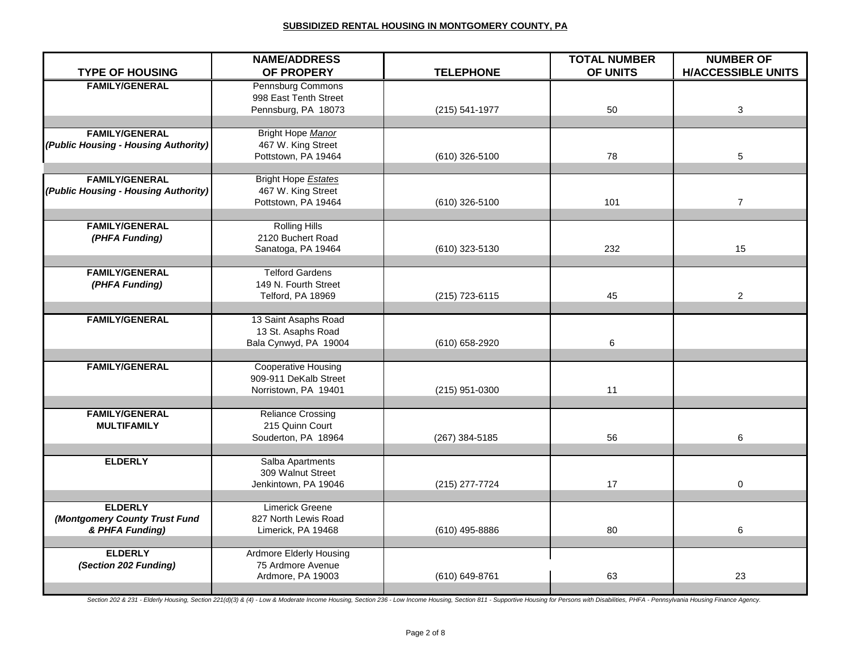| <b>TYPE OF HOUSING</b>               | <b>NAME/ADDRESS</b><br>OF PROPERY                   | <b>TELEPHONE</b> | <b>TOTAL NUMBER</b><br>OF UNITS | <b>NUMBER OF</b><br><b>H/ACCESSIBLE UNITS</b> |
|--------------------------------------|-----------------------------------------------------|------------------|---------------------------------|-----------------------------------------------|
| <b>FAMILY/GENERAL</b>                |                                                     |                  |                                 |                                               |
|                                      | Pennsburg Commons                                   |                  |                                 |                                               |
|                                      | 998 East Tenth Street<br>Pennsburg, PA 18073        |                  | 50                              |                                               |
|                                      |                                                     | (215) 541-1977   |                                 | 3                                             |
| <b>FAMILY/GENERAL</b>                | Bright Hope Manor                                   |                  |                                 |                                               |
| (Public Housing - Housing Authority) | 467 W. King Street                                  |                  |                                 |                                               |
|                                      | Pottstown, PA 19464                                 | (610) 326-5100   | 78                              | 5                                             |
|                                      |                                                     |                  |                                 |                                               |
| <b>FAMILY/GENERAL</b>                | Bright Hope <b>Estates</b>                          |                  |                                 |                                               |
| (Public Housing - Housing Authority) | 467 W. King Street                                  |                  |                                 |                                               |
|                                      | Pottstown, PA 19464                                 | (610) 326-5100   | 101                             | $\overline{7}$                                |
|                                      |                                                     |                  |                                 |                                               |
| <b>FAMILY/GENERAL</b>                | <b>Rolling Hills</b>                                |                  |                                 |                                               |
| (PHFA Funding)                       | 2120 Buchert Road                                   |                  |                                 |                                               |
|                                      | Sanatoga, PA 19464                                  | (610) 323-5130   | 232                             | 15                                            |
|                                      |                                                     |                  |                                 |                                               |
| <b>FAMILY/GENERAL</b>                | <b>Telford Gardens</b>                              |                  |                                 |                                               |
| (PHFA Funding)                       | 149 N. Fourth Street                                |                  |                                 |                                               |
|                                      | Telford, PA 18969                                   | (215) 723-6115   | 45                              | $\overline{2}$                                |
|                                      |                                                     |                  |                                 |                                               |
| <b>FAMILY/GENERAL</b>                | 13 Saint Asaphs Road                                |                  |                                 |                                               |
|                                      | 13 St. Asaphs Road<br>Bala Cynwyd, PA 19004         | (610) 658-2920   | 6                               |                                               |
|                                      |                                                     |                  |                                 |                                               |
| <b>FAMILY/GENERAL</b>                | <b>Cooperative Housing</b>                          |                  |                                 |                                               |
|                                      | 909-911 DeKalb Street                               |                  |                                 |                                               |
|                                      | Norristown, PA 19401                                | (215) 951-0300   | 11                              |                                               |
|                                      |                                                     |                  |                                 |                                               |
| <b>FAMILY/GENERAL</b>                | <b>Reliance Crossing</b>                            |                  |                                 |                                               |
| <b>MULTIFAMILY</b>                   | 215 Quinn Court                                     |                  |                                 |                                               |
|                                      | Souderton, PA 18964                                 | (267) 384-5185   | 56                              | 6                                             |
|                                      |                                                     |                  |                                 |                                               |
| <b>ELDERLY</b>                       | Salba Apartments                                    |                  |                                 |                                               |
|                                      | 309 Walnut Street                                   |                  |                                 |                                               |
|                                      | Jenkintown, PA 19046                                | (215) 277-7724   | 17                              | $\mathbf 0$                                   |
|                                      |                                                     |                  |                                 |                                               |
| <b>ELDERLY</b>                       | Limerick Greene                                     |                  |                                 |                                               |
| (Montgomery County Trust Fund        | 827 North Lewis Road                                |                  |                                 |                                               |
| & PHFA Funding)                      | Limerick, PA 19468                                  | (610) 495-8886   | 80                              | 6                                             |
| <b>ELDERLY</b>                       |                                                     |                  |                                 |                                               |
| (Section 202 Funding)                | <b>Ardmore Elderly Housing</b><br>75 Ardmore Avenue |                  |                                 |                                               |
|                                      | Ardmore, PA 19003                                   | (610) 649-8761   | 63                              | 23                                            |
|                                      |                                                     |                  |                                 |                                               |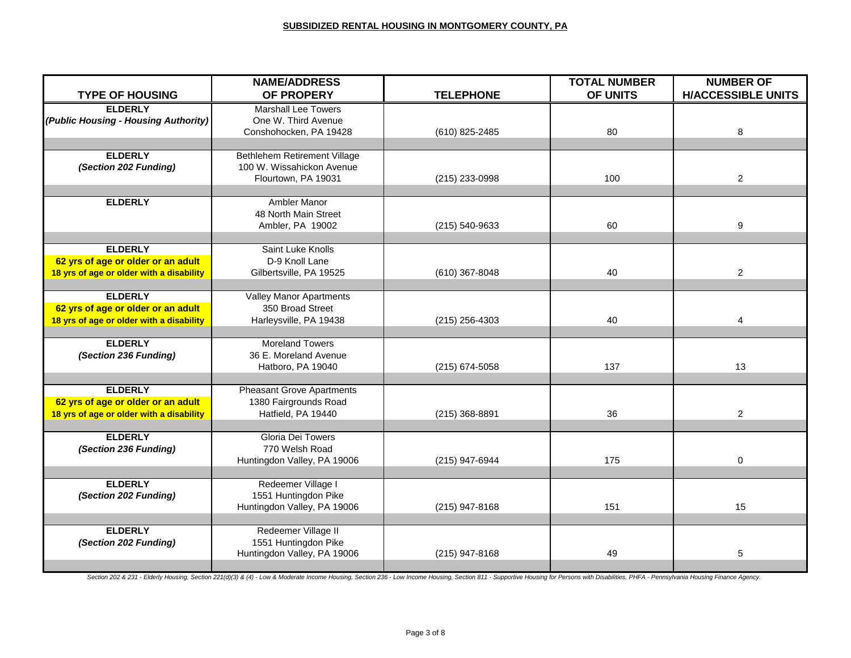| <b>TYPE OF HOUSING</b>                   | <b>NAME/ADDRESS</b><br>OF PROPERY   | <b>TELEPHONE</b> | <b>TOTAL NUMBER</b><br>OF UNITS | <b>NUMBER OF</b><br><b>H/ACCESSIBLE UNITS</b> |
|------------------------------------------|-------------------------------------|------------------|---------------------------------|-----------------------------------------------|
|                                          |                                     |                  |                                 |                                               |
| <b>ELDERLY</b>                           | <b>Marshall Lee Towers</b>          |                  |                                 |                                               |
| (Public Housing - Housing Authority)     | One W. Third Avenue                 |                  |                                 |                                               |
|                                          | Conshohocken, PA 19428              | (610) 825-2485   | 80                              | 8                                             |
| <b>ELDERLY</b>                           | <b>Bethlehem Retirement Village</b> |                  |                                 |                                               |
|                                          |                                     |                  |                                 |                                               |
| (Section 202 Funding)                    | 100 W. Wissahickon Avenue           |                  |                                 |                                               |
|                                          | Flourtown, PA 19031                 | (215) 233-0998   | 100                             | $\overline{2}$                                |
| <b>ELDERLY</b>                           |                                     |                  |                                 |                                               |
|                                          | Ambler Manor                        |                  |                                 |                                               |
|                                          | 48 North Main Street                |                  |                                 |                                               |
|                                          | Ambler, PA 19002                    | (215) 540-9633   | 60                              | 9                                             |
|                                          |                                     |                  |                                 |                                               |
| <b>ELDERLY</b>                           | Saint Luke Knolls                   |                  |                                 |                                               |
| 62 yrs of age or older or an adult       | D-9 Knoll Lane                      |                  |                                 |                                               |
| 18 yrs of age or older with a disability | Gilbertsville, PA 19525             | (610) 367-8048   | 40                              | $\overline{2}$                                |
|                                          |                                     |                  |                                 |                                               |
| <b>ELDERLY</b>                           | <b>Valley Manor Apartments</b>      |                  |                                 |                                               |
| 62 yrs of age or older or an adult       | 350 Broad Street                    |                  |                                 |                                               |
| 18 yrs of age or older with a disability | Harleysville, PA 19438              | $(215)$ 256-4303 | 40                              | 4                                             |
|                                          |                                     |                  |                                 |                                               |
| <b>ELDERLY</b>                           | <b>Moreland Towers</b>              |                  |                                 |                                               |
| (Section 236 Funding)                    | 36 E. Moreland Avenue               |                  |                                 |                                               |
|                                          | Hatboro, PA 19040                   | (215) 674-5058   | 137                             | 13                                            |
|                                          |                                     |                  |                                 |                                               |
| <b>ELDERLY</b>                           | <b>Pheasant Grove Apartments</b>    |                  |                                 |                                               |
| 62 yrs of age or older or an adult       | 1380 Fairgrounds Road               |                  |                                 |                                               |
| 18 yrs of age or older with a disability | Hatfield, PA 19440                  | (215) 368-8891   | 36                              | $\mathbf{2}$                                  |
|                                          |                                     |                  |                                 |                                               |
| <b>ELDERLY</b>                           | Gloria Dei Towers                   |                  |                                 |                                               |
| (Section 236 Funding)                    | 770 Welsh Road                      |                  |                                 |                                               |
|                                          | Huntingdon Valley, PA 19006         | (215) 947-6944   | 175                             | 0                                             |
|                                          |                                     |                  |                                 |                                               |
| <b>ELDERLY</b>                           | Redeemer Village I                  |                  |                                 |                                               |
| (Section 202 Funding)                    | 1551 Huntingdon Pike                |                  |                                 |                                               |
|                                          | Huntingdon Valley, PA 19006         | $(215)$ 947-8168 | 151                             | 15                                            |
|                                          |                                     |                  |                                 |                                               |
| <b>ELDERLY</b>                           | Redeemer Village II                 |                  |                                 |                                               |
| (Section 202 Funding)                    | 1551 Huntingdon Pike                |                  |                                 |                                               |
|                                          | Huntingdon Valley, PA 19006         | (215) 947-8168   | 49                              | 5                                             |
|                                          |                                     |                  |                                 |                                               |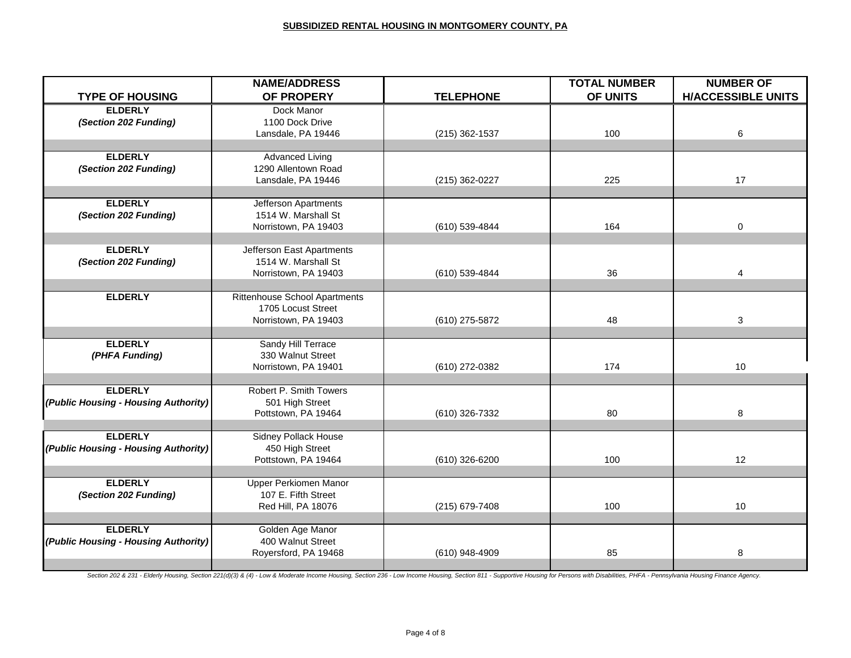|                                      | <b>NAME/ADDRESS</b>                  |                  | <b>TOTAL NUMBER</b> | <b>NUMBER OF</b>          |
|--------------------------------------|--------------------------------------|------------------|---------------------|---------------------------|
| <b>TYPE OF HOUSING</b>               | OF PROPERY                           | <b>TELEPHONE</b> | OF UNITS            | <b>H/ACCESSIBLE UNITS</b> |
| <b>ELDERLY</b>                       | Dock Manor                           |                  |                     |                           |
| (Section 202 Funding)                | 1100 Dock Drive                      |                  |                     |                           |
|                                      | Lansdale, PA 19446                   | $(215)$ 362-1537 | 100                 | 6                         |
|                                      |                                      |                  |                     |                           |
| <b>ELDERLY</b>                       | <b>Advanced Living</b>               |                  |                     |                           |
| (Section 202 Funding)                | 1290 Allentown Road                  |                  |                     |                           |
|                                      | Lansdale, PA 19446                   | (215) 362-0227   | 225                 | 17                        |
|                                      |                                      |                  |                     |                           |
| <b>ELDERLY</b>                       | Jefferson Apartments                 |                  |                     |                           |
| (Section 202 Funding)                | 1514 W. Marshall St                  |                  |                     |                           |
|                                      | Norristown, PA 19403                 | (610) 539-4844   | 164                 | 0                         |
|                                      |                                      |                  |                     |                           |
| <b>ELDERLY</b>                       | Jefferson East Apartments            |                  |                     |                           |
| (Section 202 Funding)                | 1514 W. Marshall St                  |                  |                     |                           |
|                                      | Norristown, PA 19403                 | (610) 539-4844   | 36                  | 4                         |
|                                      |                                      |                  |                     |                           |
| <b>ELDERLY</b>                       | <b>Rittenhouse School Apartments</b> |                  |                     |                           |
|                                      | 1705 Locust Street                   |                  |                     |                           |
|                                      | Norristown, PA 19403                 | (610) 275-5872   | 48                  | 3                         |
|                                      |                                      |                  |                     |                           |
| <b>ELDERLY</b>                       | Sandy Hill Terrace                   |                  |                     |                           |
| (PHFA Funding)                       | 330 Walnut Street                    |                  |                     |                           |
|                                      | Norristown, PA 19401                 | (610) 272-0382   | 174                 | 10                        |
|                                      |                                      |                  |                     |                           |
| <b>ELDERLY</b>                       | Robert P. Smith Towers               |                  |                     |                           |
| (Public Housing - Housing Authority) | 501 High Street                      |                  |                     |                           |
|                                      | Pottstown, PA 19464                  | (610) 326-7332   | 80                  | 8                         |
|                                      |                                      |                  |                     |                           |
| <b>ELDERLY</b>                       | <b>Sidney Pollack House</b>          |                  |                     |                           |
| (Public Housing - Housing Authority) | 450 High Street                      |                  |                     |                           |
|                                      | Pottstown, PA 19464                  | (610) 326-6200   | 100                 | 12                        |
|                                      |                                      |                  |                     |                           |
| <b>ELDERLY</b>                       | Upper Perkiomen Manor                |                  |                     |                           |
| (Section 202 Funding)                | 107 E. Fifth Street                  |                  |                     |                           |
|                                      | Red Hill, PA 18076                   | (215) 679-7408   | 100                 | 10                        |
|                                      |                                      |                  |                     |                           |
| <b>ELDERLY</b>                       | Golden Age Manor                     |                  |                     |                           |
| (Public Housing - Housing Authority) | 400 Walnut Street                    |                  |                     |                           |
|                                      | Royersford, PA 19468                 | (610) 948-4909   | 85                  | 8                         |
|                                      |                                      |                  |                     |                           |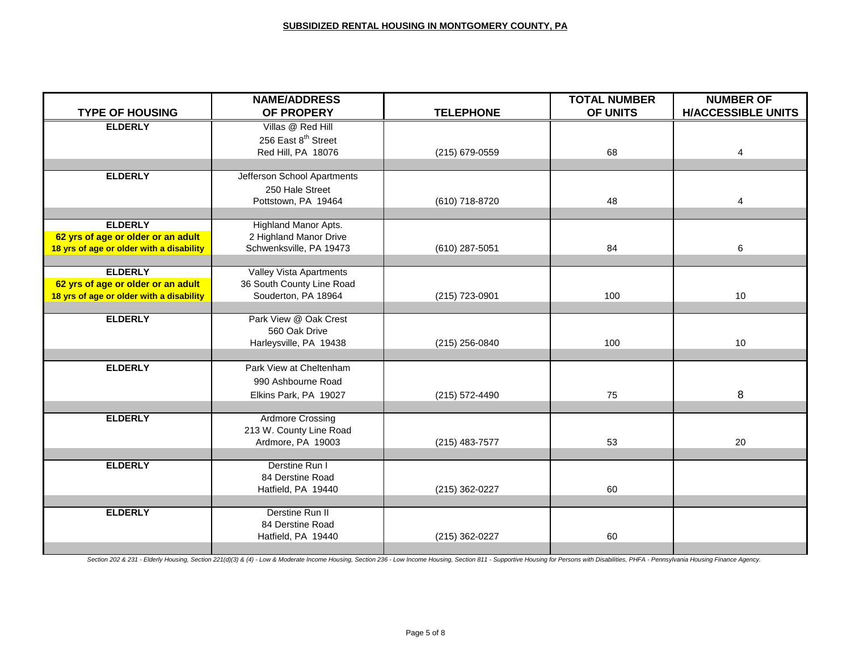|                                          | <b>NAME/ADDRESS</b>             |                  | <b>TOTAL NUMBER</b> | <b>NUMBER OF</b>          |
|------------------------------------------|---------------------------------|------------------|---------------------|---------------------------|
| <b>TYPE OF HOUSING</b>                   | OF PROPERY                      | <b>TELEPHONE</b> | OF UNITS            | <b>H/ACCESSIBLE UNITS</b> |
| <b>ELDERLY</b>                           | Villas @ Red Hill               |                  |                     |                           |
|                                          | 256 East 8 <sup>th</sup> Street |                  |                     |                           |
|                                          | Red Hill, PA 18076              | (215) 679-0559   | 68                  | 4                         |
|                                          |                                 |                  |                     |                           |
| <b>ELDERLY</b>                           | Jefferson School Apartments     |                  |                     |                           |
|                                          | 250 Hale Street                 |                  |                     |                           |
|                                          | Pottstown, PA 19464             | (610) 718-8720   | 48                  | 4                         |
|                                          |                                 |                  |                     |                           |
| <b>ELDERLY</b>                           | Highland Manor Apts.            |                  |                     |                           |
| 62 yrs of age or older or an adult       | 2 Highland Manor Drive          |                  |                     |                           |
| 18 yrs of age or older with a disability | Schwenksville, PA 19473         | (610) 287-5051   | 84                  | 6                         |
| <b>ELDERLY</b>                           | Valley Vista Apartments         |                  |                     |                           |
| 62 yrs of age or older or an adult       | 36 South County Line Road       |                  |                     |                           |
| 18 yrs of age or older with a disability | Souderton, PA 18964             | (215) 723-0901   | 100                 | 10                        |
|                                          |                                 |                  |                     |                           |
| <b>ELDERLY</b>                           | Park View @ Oak Crest           |                  |                     |                           |
|                                          | 560 Oak Drive                   |                  |                     |                           |
|                                          | Harleysville, PA 19438          | $(215)$ 256-0840 | 100                 | 10                        |
|                                          |                                 |                  |                     |                           |
| <b>ELDERLY</b>                           | Park View at Cheltenham         |                  |                     |                           |
|                                          | 990 Ashbourne Road              |                  |                     |                           |
|                                          | Elkins Park, PA 19027           | (215) 572-4490   | 75                  | 8                         |
|                                          |                                 |                  |                     |                           |
| <b>ELDERLY</b>                           | <b>Ardmore Crossing</b>         |                  |                     |                           |
|                                          | 213 W. County Line Road         |                  |                     |                           |
|                                          | Ardmore, PA 19003               | $(215)$ 483-7577 | 53                  | 20                        |
| <b>ELDERLY</b>                           | Derstine Run I                  |                  |                     |                           |
|                                          | 84 Derstine Road                |                  |                     |                           |
|                                          | Hatfield, PA 19440              | (215) 362-0227   | 60                  |                           |
|                                          |                                 |                  |                     |                           |
| <b>ELDERLY</b>                           | Derstine Run II                 |                  |                     |                           |
|                                          | 84 Derstine Road                |                  |                     |                           |
|                                          | Hatfield, PA 19440              | (215) 362-0227   | 60                  |                           |
|                                          |                                 |                  |                     |                           |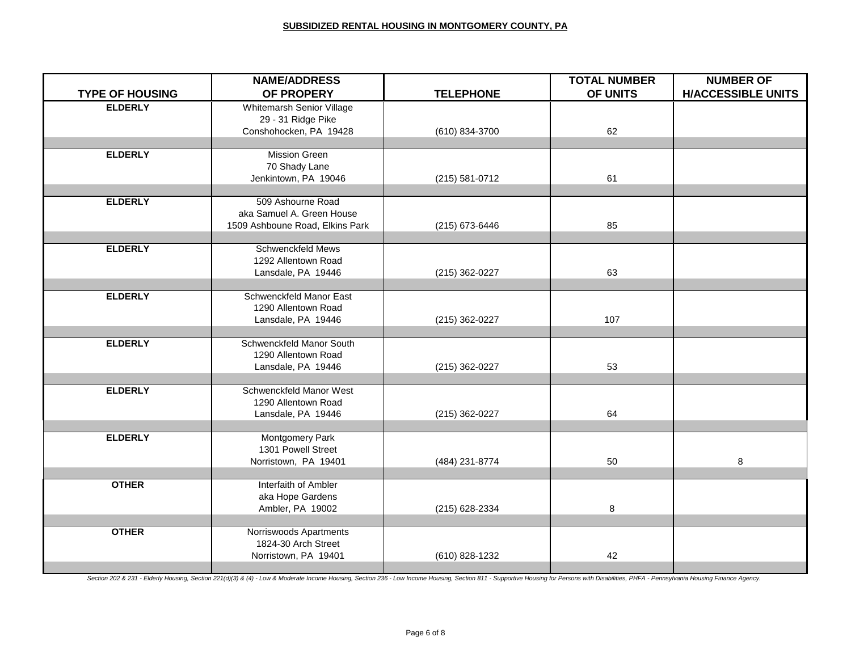|                                          | <b>NAME/ADDRESS</b><br>OF PROPERY         | <b>TELEPHONE</b> | <b>TOTAL NUMBER</b><br>OF UNITS | <b>NUMBER OF</b><br><b>H/ACCESSIBLE UNITS</b> |
|------------------------------------------|-------------------------------------------|------------------|---------------------------------|-----------------------------------------------|
| <b>TYPE OF HOUSING</b><br><b>ELDERLY</b> | Whitemarsh Senior Village                 |                  |                                 |                                               |
|                                          | 29 - 31 Ridge Pike                        |                  |                                 |                                               |
|                                          | Conshohocken, PA 19428                    | (610) 834-3700   | 62                              |                                               |
|                                          |                                           |                  |                                 |                                               |
| <b>ELDERLY</b>                           | <b>Mission Green</b>                      |                  |                                 |                                               |
|                                          | 70 Shady Lane                             |                  |                                 |                                               |
|                                          | Jenkintown, PA 19046                      | (215) 581-0712   | 61                              |                                               |
| <b>ELDERLY</b>                           | 509 Ashourne Road                         |                  |                                 |                                               |
|                                          | aka Samuel A. Green House                 |                  |                                 |                                               |
|                                          | 1509 Ashboune Road, Elkins Park           | (215) 673-6446   | 85                              |                                               |
|                                          |                                           |                  |                                 |                                               |
| <b>ELDERLY</b>                           | Schwenckfeld Mews                         |                  |                                 |                                               |
|                                          | 1292 Allentown Road                       |                  |                                 |                                               |
|                                          | Lansdale, PA 19446                        | (215) 362-0227   | 63                              |                                               |
|                                          |                                           |                  |                                 |                                               |
| <b>ELDERLY</b>                           | Schwenckfeld Manor East                   |                  |                                 |                                               |
|                                          | 1290 Allentown Road<br>Lansdale, PA 19446 | (215) 362-0227   | 107                             |                                               |
|                                          |                                           |                  |                                 |                                               |
| <b>ELDERLY</b>                           | Schwenckfeld Manor South                  |                  |                                 |                                               |
|                                          | 1290 Allentown Road                       |                  |                                 |                                               |
|                                          | Lansdale, PA 19446                        | (215) 362-0227   | 53                              |                                               |
|                                          |                                           |                  |                                 |                                               |
| <b>ELDERLY</b>                           | Schwenckfeld Manor West                   |                  |                                 |                                               |
|                                          | 1290 Allentown Road                       |                  |                                 |                                               |
|                                          | Lansdale, PA 19446                        | (215) 362-0227   | 64                              |                                               |
| <b>ELDERLY</b>                           | Montgomery Park                           |                  |                                 |                                               |
|                                          | 1301 Powell Street                        |                  |                                 |                                               |
|                                          | Norristown, PA 19401                      | (484) 231-8774   | 50                              | 8                                             |
|                                          |                                           |                  |                                 |                                               |
| <b>OTHER</b>                             | Interfaith of Ambler                      |                  |                                 |                                               |
|                                          | aka Hope Gardens                          |                  |                                 |                                               |
|                                          | Ambler, PA 19002                          | (215) 628-2334   | 8                               |                                               |
| <b>OTHER</b>                             | Norriswoods Apartments                    |                  |                                 |                                               |
|                                          | 1824-30 Arch Street                       |                  |                                 |                                               |
|                                          | Norristown, PA 19401                      | (610) 828-1232   | 42                              |                                               |
|                                          |                                           |                  |                                 |                                               |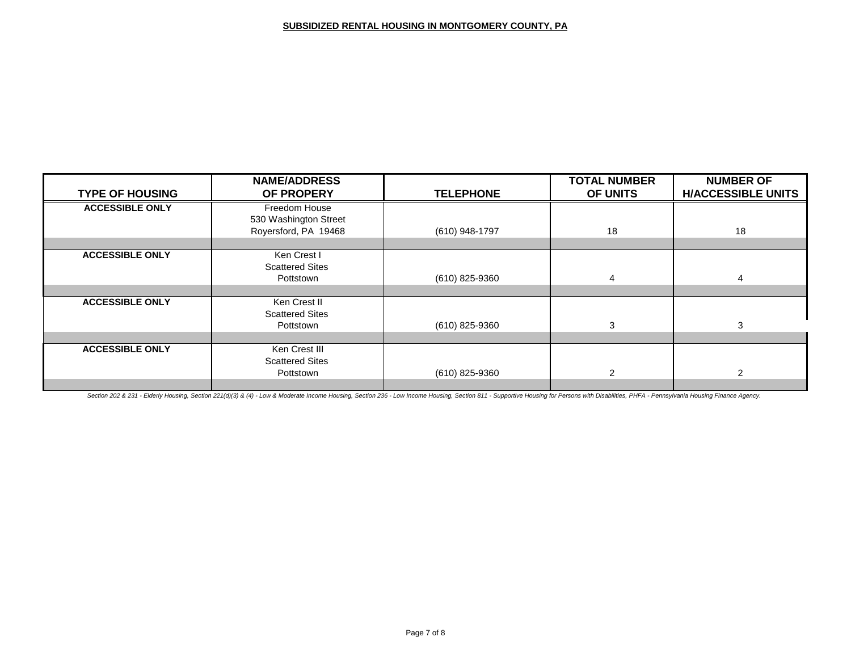|                        | <b>NAME/ADDRESS</b>    |                  | <b>TOTAL NUMBER</b> | <b>NUMBER OF</b>          |
|------------------------|------------------------|------------------|---------------------|---------------------------|
| <b>TYPE OF HOUSING</b> | OF PROPERY             | <b>TELEPHONE</b> | OF UNITS            | <b>H/ACCESSIBLE UNITS</b> |
| <b>ACCESSIBLE ONLY</b> | Freedom House          |                  |                     |                           |
|                        | 530 Washington Street  |                  |                     |                           |
|                        | Royersford, PA 19468   | (610) 948-1797   | 18                  | 18                        |
|                        |                        |                  |                     |                           |
| <b>ACCESSIBLE ONLY</b> | Ken Crest I            |                  |                     |                           |
|                        | <b>Scattered Sites</b> |                  |                     |                           |
|                        | Pottstown              | (610) 825-9360   | 4                   | 4                         |
|                        |                        |                  |                     |                           |
| <b>ACCESSIBLE ONLY</b> | Ken Crest II           |                  |                     |                           |
|                        | <b>Scattered Sites</b> |                  |                     |                           |
|                        | Pottstown              | (610) 825-9360   | 3                   | 3                         |
|                        |                        |                  |                     |                           |
| <b>ACCESSIBLE ONLY</b> | Ken Crest III          |                  |                     |                           |
|                        | <b>Scattered Sites</b> |                  |                     |                           |
|                        | Pottstown              | (610) 825-9360   | $\mathcal{P}$       | 2                         |
|                        |                        |                  |                     |                           |